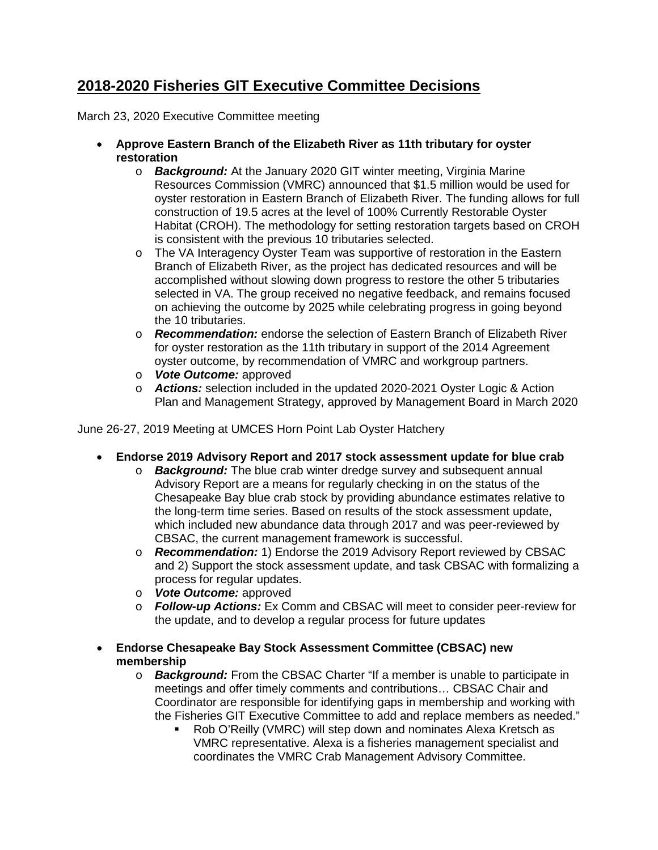## **2018-2020 Fisheries GIT Executive Committee Decisions**

March 23, 2020 Executive Committee meeting

- **Approve Eastern Branch of the Elizabeth River as 11th tributary for oyster restoration** 
	- o *Background:* At the January 2020 GIT winter meeting, Virginia Marine Resources Commission (VMRC) announced that \$1.5 million would be used for oyster restoration in Eastern Branch of Elizabeth River. The funding allows for full construction of 19.5 acres at the level of 100% Currently Restorable Oyster Habitat (CROH). The methodology for setting restoration targets based on CROH is consistent with the previous 10 tributaries selected.
	- o The VA Interagency Oyster Team was supportive of restoration in the Eastern Branch of Elizabeth River, as the project has dedicated resources and will be accomplished without slowing down progress to restore the other 5 tributaries selected in VA. The group received no negative feedback, and remains focused on achieving the outcome by 2025 while celebrating progress in going beyond the 10 tributaries.
	- o *Recommendation:* endorse the selection of Eastern Branch of Elizabeth River for oyster restoration as the 11th tributary in support of the 2014 Agreement oyster outcome, by recommendation of VMRC and workgroup partners.
	- o *Vote Outcome:* approved
	- o *Actions:* selection included in the updated 2020-2021 Oyster Logic & Action Plan and Management Strategy, approved by Management Board in March 2020

June 26-27, 2019 Meeting at UMCES Horn Point Lab Oyster Hatchery

- **Endorse 2019 Advisory Report and 2017 stock assessment update for blue crab**
	- o *Background:* The blue crab winter dredge survey and subsequent annual Advisory Report are a means for regularly checking in on the status of the Chesapeake Bay blue crab stock by providing abundance estimates relative to the long-term time series. Based on results of the stock assessment update, which included new abundance data through 2017 and was peer-reviewed by CBSAC, the current management framework is successful.
	- o *Recommendation:* 1) Endorse the 2019 Advisory Report reviewed by CBSAC and 2) Support the stock assessment update, and task CBSAC with formalizing a process for regular updates.
	- o *Vote Outcome:* approved
	- o *Follow-up Actions:* Ex Comm and CBSAC will meet to consider peer-review for the update, and to develop a regular process for future updates
- **Endorse Chesapeake Bay Stock Assessment Committee (CBSAC) new membership** 
	- o *Background:* From the CBSAC Charter "If a member is unable to participate in meetings and offer timely comments and contributions… CBSAC Chair and Coordinator are responsible for identifying gaps in membership and working with the Fisheries GIT Executive Committee to add and replace members as needed."
		- Rob O'Reilly (VMRC) will step down and nominates Alexa Kretsch as VMRC representative. Alexa is a fisheries management specialist and coordinates the VMRC Crab Management Advisory Committee.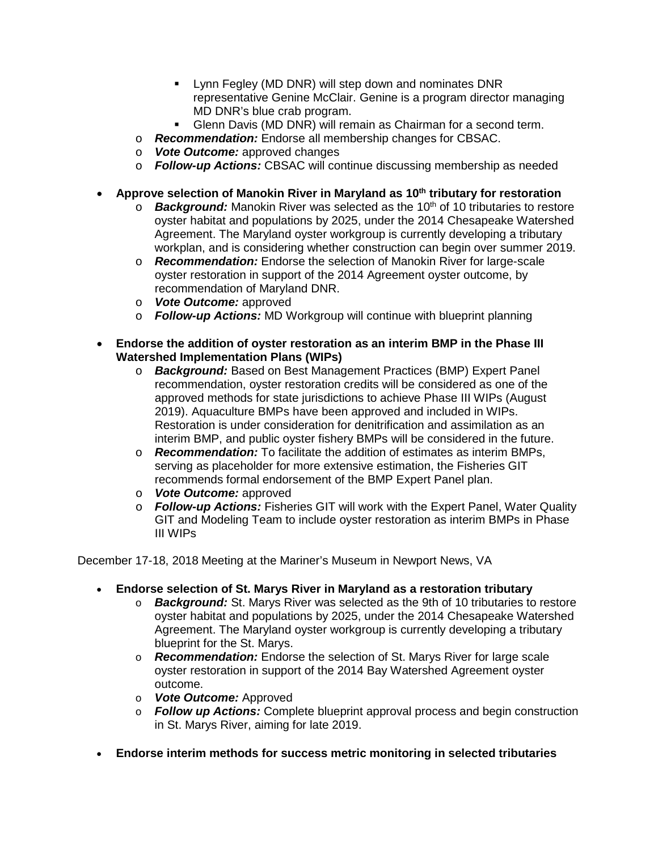- **EXECT** Lynn Fegley (MD DNR) will step down and nominates DNR representative Genine McClair. Genine is a program director managing MD DNR's blue crab program.
- Glenn Davis (MD DNR) will remain as Chairman for a second term.
- o *Recommendation:* Endorse all membership changes for CBSAC.
- o *Vote Outcome:* approved changes
- o *Follow-up Actions:* CBSAC will continue discussing membership as needed
- Approve selection of Manokin River in Maryland as 10<sup>th</sup> tributary for restoration
	- $\circ$  **Background:** Manokin River was selected as the 10<sup>th</sup> of 10 tributaries to restore oyster habitat and populations by 2025, under the 2014 Chesapeake Watershed Agreement. The Maryland oyster workgroup is currently developing a tributary workplan, and is considering whether construction can begin over summer 2019.
	- o *Recommendation:* Endorse the selection of Manokin River for large-scale oyster restoration in support of the 2014 Agreement oyster outcome, by recommendation of Maryland DNR.
	- o *Vote Outcome:* approved
	- o *Follow-up Actions:* MD Workgroup will continue with blueprint planning
- **Endorse the addition of oyster restoration as an interim BMP in the Phase III Watershed Implementation Plans (WIPs)**
	- o *Background:* Based on Best Management Practices (BMP) Expert Panel recommendation, oyster restoration credits will be considered as one of the approved methods for state jurisdictions to achieve Phase III WIPs (August 2019). Aquaculture BMPs have been approved and included in WIPs. Restoration is under consideration for denitrification and assimilation as an interim BMP, and public oyster fishery BMPs will be considered in the future.
	- o *Recommendation:* To facilitate the addition of estimates as interim BMPs, serving as placeholder for more extensive estimation, the Fisheries GIT recommends formal endorsement of the BMP Expert Panel plan.
	- o *Vote Outcome:* approved
	- o *Follow-up Actions:* Fisheries GIT will work with the Expert Panel, Water Quality GIT and Modeling Team to include oyster restoration as interim BMPs in Phase III WIPs

December 17-18, 2018 Meeting at the Mariner's Museum in Newport News, VA

- **Endorse selection of St. Marys River in Maryland as a restoration tributary**
	- o *Background:* St. Marys River was selected as the 9th of 10 tributaries to restore oyster habitat and populations by 2025, under the 2014 Chesapeake Watershed Agreement. The Maryland oyster workgroup is currently developing a tributary blueprint for the St. Marys.
	- o *Recommendation:* Endorse the selection of St. Marys River for large scale oyster restoration in support of the 2014 Bay Watershed Agreement oyster outcome.
	- o *Vote Outcome:* Approved
	- o *Follow up Actions:* Complete blueprint approval process and begin construction in St. Marys River, aiming for late 2019.
- **Endorse interim methods for success metric monitoring in selected tributaries**